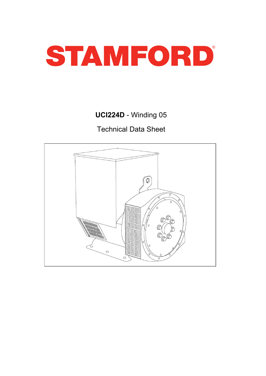

# UCI224D - Winding 05

Technical Data Sheet

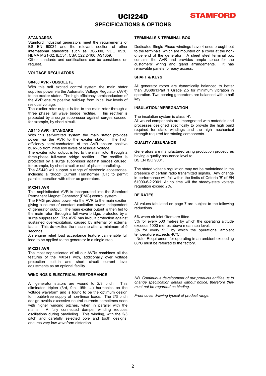### UCI224D SPECIFICATIONS & OPTIONS



#### **STANDARDS**

Stamford industrial generators meet the requirements of BS EN 60034 and the relevant section of other international standards such as BS5000, VDE 0530, NEMA MG1-32, IEC34, CSA C22.2-100, AS1359.

Other standards and certifications can be considered on request.

#### VOLTAGE REGULATORS

#### SX460 AVR - OBSOLETE

With this self excited control system the main stator supplies power via the Automatic Voltage Regulator (AVR) to the exciter stator. The high efficiency semiconductors of the AVR ensure positive build-up from initial low levels of residual voltage.

The exciter rotor output is fed to the main rotor through a three phase full wave bridge rectifier. This rectifier is protected by a surge suppressor against surges caused, for example, by short circuit.

#### AS440 AVR - STANDARD

With this self-excited system the main stator provides power via the AVR to the exciter stator. The high efficiency semi-conductors of the AVR ensure positive build-up from initial low levels of residual voltage.

The exciter rotor output is fed to the main rotor through a three-phase full-wave bridge rectifier. The rectifier is protected by a surge suppressor against surges caused, for example, by short circuit or out-of-phase paralleling.

The AS440 will support a range of electronic accessories, including a 'droop' Current Transformer (CT) to permit parallel operation with other ac generators.

#### MX341 AVR

This sophisticated AVR is incorporated into the Stamford Permanent Magnet Generator (PMG) control system.

The PMG provides power via the AVR to the main exciter, giving a source of constant excitation power independent of generator output. The main exciter output is then fed to the main rotor, through a full wave bridge, protected by a surge suppressor. The AVR has in-built protection against sustained over-excitation, caused by internal or external faults. This de-excites the machine after a minimum of 5 seconds.

An engine relief load acceptance feature can enable full load to be applied to the generator in a single step.

#### MX321 AVR

The most sophisticated of all our AVRs combines all the features of the MX341 with, additionally over voltage protection built-in and short circuit current level adjustments as an optional facility.

#### WINDINGS & ELECTRICAL PERFORMANCE

All generator stators are wound to 2/3 pitch. This eliminates triplen (3rd, 9th, 15th …) harmonics on the voltage waveform and is found to be the optimum design for trouble-free supply of non-linear loads. The 2/3 pitch design avoids excessive neutral currents sometimes seen with higher winding pitches, when in parallel with the mains. A fully connected damper winding reduces A fully connected damper winding reduces oscillations during paralleling. This winding, with the 2/3 pitch and carefully selected pole and tooth designs, ensures very low waveform distortion.

#### TERMINALS & TERMINAL BOX

Dedicated Single Phase windings have 4 ends brought out to the terminals, which are mounted on a cover at the nondrive end of the generator. A sheet steel terminal box contains the AVR and provides ample space for the customers' wiring and gland arrangements. It has customers' wiring and gland arrangements. removable panels for easy access.

#### SHAFT & KEYS

All generator rotors are dynamically balanced to better than BS6861:Part 1 Grade 2.5 for minimum vibration in operation. Two bearing generators are balanced with a half key.

#### INSULATION/IMPREGNATION

The insulation system is class 'H'.

All wound components are impregnated with materials and processes designed specifically to provide the high build required for static windings and the high mechanical strength required for rotating components.

#### QUALITY ASSURANCE

Generators are manufactured using production procedures having a quality assurance level to

BS EN ISO 9001.

The stated voltage regulation may not be maintained in the presence of certain radio transmitted signals. Any change in performance will fall within the limits of Criteria 'B' of EN 61000-6-2:2001. At no time will the steady-state voltage regulation exceed 2%.

#### DE RATES

All values tabulated on page 7 are subject to the following reductions

5% when air inlet filters are fitted.

3% for every 500 metres by which the operating altitude exceeds 1000 metres above mean sea level.

3% for every 5°C by which the operational ambient temperature exceeds 40°C.

Note: Requirement for operating in an ambient exceeding 60°C must be referred to the factory.

NB Continuous development of our products entitles us to change specification details without notice, therefore they must not be regarded as binding.

Front cover drawing typical of product range.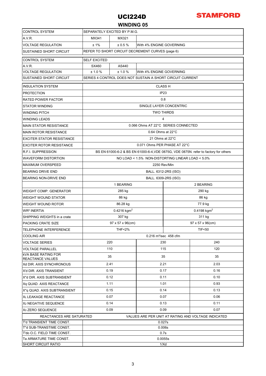

### WINDING 05

| <b>CONTROL SYSTEM</b>                                 | SEPARATELY EXCITED BY P.M.G.                                                         |              |                          |                               |                                                     |  |  |  |
|-------------------------------------------------------|--------------------------------------------------------------------------------------|--------------|--------------------------|-------------------------------|-----------------------------------------------------|--|--|--|
| A.V.R.                                                | MX321<br>MX341                                                                       |              |                          |                               |                                                     |  |  |  |
| <b>VOLTAGE REGULATION</b>                             | ±1%<br>± 0.5%<br>With 4% ENGINE GOVERNING                                            |              |                          |                               |                                                     |  |  |  |
| <b>SUSTAINED SHORT CIRCUIT</b>                        | REFER TO SHORT CIRCUIT DECREMENT CURVES (page 6)                                     |              |                          |                               |                                                     |  |  |  |
| <b>CONTROL SYSTEM</b>                                 | <b>SELF EXCITED</b>                                                                  |              |                          |                               |                                                     |  |  |  |
| A.V.R.                                                | SX460                                                                                | AS440        |                          |                               |                                                     |  |  |  |
| <b>VOLTAGE REGULATION</b>                             | ± 1.0 %                                                                              | ± 1.0 %      | With 4% ENGINE GOVERNING |                               |                                                     |  |  |  |
| <b>SUSTAINED SHORT CIRCUIT</b>                        | SERIES 4 CONTROL DOES NOT SUSTAIN A SHORT CIRCUIT CURRENT                            |              |                          |                               |                                                     |  |  |  |
| <b>INSULATION SYSTEM</b>                              | <b>CLASS H</b>                                                                       |              |                          |                               |                                                     |  |  |  |
| <b>PROTECTION</b>                                     | IP <sub>23</sub>                                                                     |              |                          |                               |                                                     |  |  |  |
| <b>RATED POWER FACTOR</b>                             | 0.8                                                                                  |              |                          |                               |                                                     |  |  |  |
| <b>STATOR WINDING</b>                                 | SINGLE LAYER CONCENTRIC                                                              |              |                          |                               |                                                     |  |  |  |
| <b>WINDING PITCH</b>                                  | <b>TWO THIRDS</b>                                                                    |              |                          |                               |                                                     |  |  |  |
| <b>WINDING LEADS</b>                                  | 4                                                                                    |              |                          |                               |                                                     |  |  |  |
| <b>MAIN STATOR RESISTANCE</b>                         | 0.066 Ohms AT 22°C SERIES CONNECTED                                                  |              |                          |                               |                                                     |  |  |  |
| <b>MAIN ROTOR RESISTANCE</b>                          | $0.64$ Ohms at 22 $\degree$ C                                                        |              |                          |                               |                                                     |  |  |  |
| <b>EXCITER STATOR RESISTANCE</b>                      | 21 Ohms at 22°C                                                                      |              |                          |                               |                                                     |  |  |  |
| <b>EXCITER ROTOR RESISTANCE</b>                       | 0.071 Ohms PER PHASE AT 22°C                                                         |              |                          |                               |                                                     |  |  |  |
| <b>R.F.I. SUPPRESSION</b>                             | BS EN 61000-6-2 & BS EN 61000-6-4, VDE 0875G, VDE 0875N. refer to factory for others |              |                          |                               |                                                     |  |  |  |
| <b>WAVEFORM DISTORTION</b>                            | NO LOAD < 1.5% NON-DISTORTING LINEAR LOAD < 5.0%                                     |              |                          |                               |                                                     |  |  |  |
| <b>MAXIMUM OVERSPEED</b>                              | 2250 Rev/Min                                                                         |              |                          |                               |                                                     |  |  |  |
| <b>BEARING DRIVE END</b>                              | BALL. 6312-2RS (ISO)                                                                 |              |                          |                               |                                                     |  |  |  |
| BEARING NON-DRIVE END                                 | BALL. 6309-2RS (ISO)                                                                 |              |                          |                               |                                                     |  |  |  |
|                                                       | 1 BEARING<br>2 BEARING                                                               |              |                          |                               |                                                     |  |  |  |
| <b>WEIGHT COMP. GENERATOR</b>                         |                                                                                      | 285 kg       |                          | 290 kg                        |                                                     |  |  |  |
| <b>WEIGHT WOUND STATOR</b>                            |                                                                                      | 86 kg        |                          | 86 kg                         |                                                     |  |  |  |
| <b>WEIGHT WOUND ROTOR</b>                             | 86.28 kg                                                                             |              |                          |                               | 77.9 kg                                             |  |  |  |
| <b>WR<sup>2</sup> INERTIA</b>                         | $0.4216$ kgm <sup>2</sup><br>$0.4198$ kgm <sup>2</sup>                               |              |                          |                               |                                                     |  |  |  |
| SHIPPING WEIGHTS in a crate                           |                                                                                      | 307 kg       |                          | 311 kg                        |                                                     |  |  |  |
| PACKING CRATE SIZE                                    | 97 x 57 x 96(cm)                                                                     |              |                          | $97 \times 57 \times 96$ (cm) |                                                     |  |  |  |
| TELEPHONE INTERFERENCE                                | <b>THF&lt;2%</b><br><b>TIF&lt;50</b>                                                 |              |                          |                               |                                                     |  |  |  |
| <b>COOLING AIR</b>                                    | $0.216$ m <sup>3</sup> /sec 458 cfm                                                  |              |                          |                               |                                                     |  |  |  |
| <b>VOLTAGE SERIES</b>                                 |                                                                                      | 220<br>230   |                          |                               | 240                                                 |  |  |  |
| <b>VOLTAGE PARALLEL</b>                               | 110                                                                                  | 115          |                          |                               | 120                                                 |  |  |  |
| <b>KVA BASE RATING FOR</b><br><b>REACTANCE VALUES</b> |                                                                                      | 35<br>35     |                          |                               | 35                                                  |  |  |  |
| Xd DIR. AXIS SYNCHRONOUS                              |                                                                                      | 2.41<br>2.21 |                          |                               | 2.03                                                |  |  |  |
| X'd DIR. AXIS TRANSIENT                               |                                                                                      | 0.19<br>0.17 |                          |                               | 0.16                                                |  |  |  |
| X"d DIR. AXIS SUBTRANSIENT                            | 0.12                                                                                 |              | 0.11                     |                               | 0.10                                                |  |  |  |
| Xq QUAD. AXIS REACTANCE                               |                                                                                      | 1.11         |                          | 1.01                          | 0.93                                                |  |  |  |
| X"q QUAD. AXIS SUBTRANSIENT                           | 0.15                                                                                 |              | 0.14                     |                               | 0.13                                                |  |  |  |
| XL LEAKAGE REACTANCE                                  | 0.07                                                                                 |              | 0.07                     |                               | 0.06                                                |  |  |  |
| X <sub>2</sub> NEGATIVE SEQUENCE                      | 0.14                                                                                 |              |                          | 0.13<br>0.11                  |                                                     |  |  |  |
| X <sub>0</sub> ZERO SEQUENCE                          | 0.09<br>0.09<br>0.07                                                                 |              |                          |                               |                                                     |  |  |  |
| REACTANCES ARE SATURATED                              |                                                                                      |              |                          |                               | VALUES ARE PER UNIT AT RATING AND VOLTAGE INDICATED |  |  |  |
| T'd TRANSIENT TIME CONST.                             | 0.027s                                                                               |              |                          |                               |                                                     |  |  |  |
| T"d SUB-TRANSTIME CONST.                              | 0.006s                                                                               |              |                          |                               |                                                     |  |  |  |
| T'do O.C. FIELD TIME CONST.                           | 0.7s<br>0.0055s                                                                      |              |                          |                               |                                                     |  |  |  |
| Ta ARMATURE TIME CONST.<br><b>SHORT CIRCUIT RATIO</b> |                                                                                      |              | 1/Xd                     |                               |                                                     |  |  |  |
|                                                       |                                                                                      |              |                          |                               |                                                     |  |  |  |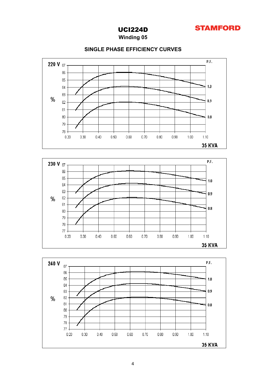

Winding 05

### SINGLE PHASE EFFICIENCY CURVES





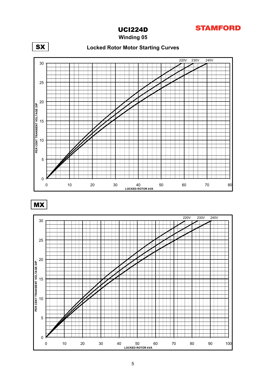

Winding 05



MX

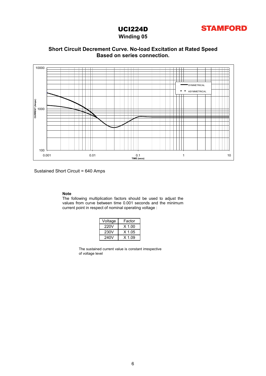

### Winding 05



### Based on series connection. Short Circuit Decrement Curve. No-load Excitation at Rated Speed

Sustained Short Circuit = 640 Amps

### Note

The following multiplication factors should be used to adjust the values from curve between time 0.001 seconds and the minimum current point in respect of nominal operating voltage :

| Voltage | Factor   |  |  |  |  |  |
|---------|----------|--|--|--|--|--|
| 220V    | $X$ 1.00 |  |  |  |  |  |
| 230V    | X 1.05   |  |  |  |  |  |
| 240V    | $X$ 1.09 |  |  |  |  |  |

The sustained current value is constant irrespective of voltage level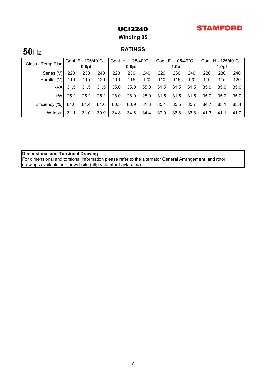# **STAMFORD**

UCI224D

Winding 05

# 50Hz RATINGS

| Class - Temp Rise | Cont. $F - 105/40^{\circ}C$ |                   | Cont. H - 125/40°C |      | Cont. $F - 105/40^{\circ}C$ |      |      | Cont. H - 125/40°C |      |      |                   |      |
|-------------------|-----------------------------|-------------------|--------------------|------|-----------------------------|------|------|--------------------|------|------|-------------------|------|
|                   |                             | 0.8 <sub>pf</sub> |                    |      | 0.8 <sub>pf</sub>           |      |      | 1.0 <sub>pf</sub>  |      |      | 1.0 <sub>pf</sub> |      |
| Series (V)        | 220                         | 230               | 240                | 220  | 230                         | 240  | 220  | 230                | 240  | 220  | 230               | 240  |
| Parallel (V)      | 110                         | 115               | 120                | 110  | 115                         | 120  | 110  | 115                | 120  | 110  | 115               | 120  |
| <b>kVA</b>        | 31.5                        | 31.5              | 31.5               | 35.0 | 35.0                        | 35.0 | 31.5 | 31.5               | 31.5 | 35.0 | 35.0              | 35.0 |
| kW                | 25.2                        | 25.2              | 25.2               | 28.0 | 28.0                        | 28.0 | 31.5 | 31.5               | 31.5 | 35.0 | 35.0              | 35.0 |
| Efficiency (%)    | 81.0                        | 81.4              | 81.6               | 80.5 | 80.9                        | 81.3 | 85.1 | 85.5               | 85.7 | 84.7 | 85.1              | 85.4 |
| kW Input          | 31.1                        | 31.0              | 30.9               | 34.8 | 34.6                        | 34.4 | 37.0 | 36.8               | 36.8 | 41.3 | 41.1              | 41.0 |

Dimensional and Torsional Drawing

For dimensional and torsional information please refer to the alternator General Arrangement and rotor drawings available on our website (http://stamford-avk.com/)